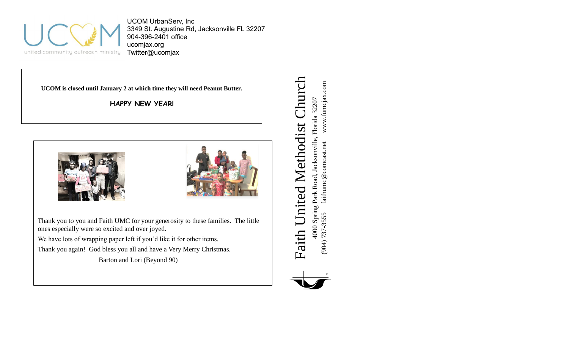

UCOM UrbanServ, Inc 3349 St. Augustine Rd, Jacksonville FL 32207 904-396-2401 office ucomjax.org Twitter@ucomjax

**UCOM is closed until January 2 at which time they will need Peanut Butter.**

**HAPPY NEW YEAR!**





Thank you to you and Faith UMC for your generosity to these families. The little ones especially were so excited and over joyed. We have lots of wrapping paper left if you'd like it for other items.

Thank you again! God bless you all and have a Very Merry Christmas. Barton and Lori (Beyond 90)

Faith United Methodist Church Faith United Methodist Church www.fumcjax.com (904) 737-3555 faithumc@comcast.net www.fumcjax.com 4000 Spring Park Road, Jacksonville, Florida 32207<br>(904) 737-3555 faithumc@comcast.net www.fumcjax 4000 Spring Park Road, Jacksonville, Florida 32207